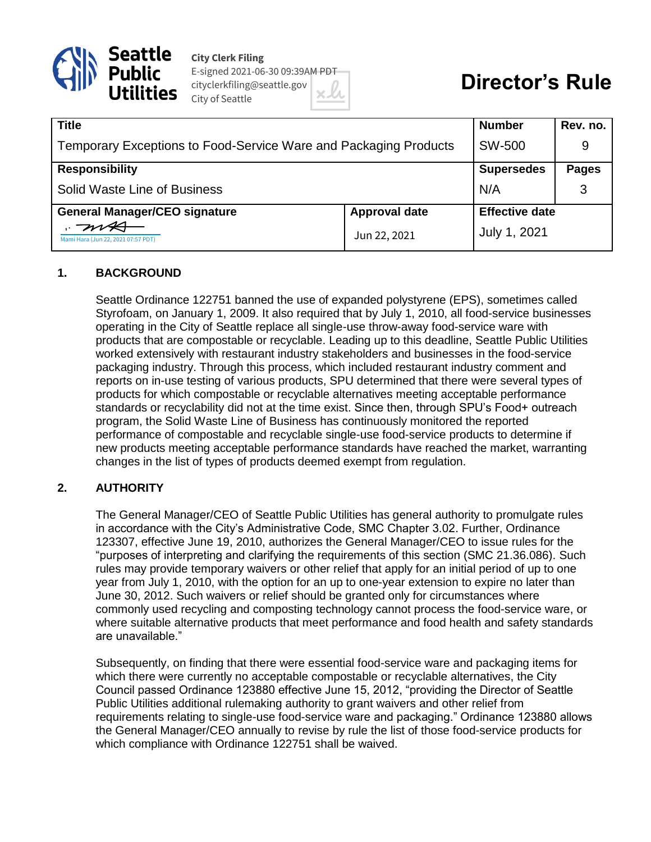

**City Clerk Filing** E-signed 2021-06-30 09:39AM PDT cityclerkfiling@seattle.gov City of Seattle

# **Director's Rule**

| <b>Title</b>                                                     |                      | <b>Number</b>         | Rev. no.     |
|------------------------------------------------------------------|----------------------|-----------------------|--------------|
| Temporary Exceptions to Food-Service Ware and Packaging Products |                      | SW-500                | 9            |
| <b>Responsibility</b>                                            |                      | <b>Supersedes</b>     | <b>Pages</b> |
| Solid Waste Line of Business                                     |                      | N/A                   | 3            |
| <b>General Manager/CEO signature</b>                             | <b>Approval date</b> | <b>Effective date</b> |              |
| Mami Hara (Jun 22, 2021 07:57 PDT)                               | Jun 22, 2021         | July 1, 2021          |              |

# **1. BACKGROUND**

Seattle Ordinance 122751 banned the use of expanded polystyrene (EPS), sometimes called Styrofoam, on January 1, 2009. It also required that by July 1, 2010, all food-service businesses operating in the City of Seattle replace all single-use throw-away food-service ware with products that are compostable or recyclable. Leading up to this deadline, Seattle Public Utilities worked extensively with restaurant industry stakeholders and businesses in the food-service packaging industry. Through this process, which included restaurant industry comment and reports on in-use testing of various products, SPU determined that there were several types of products for which compostable or recyclable alternatives meeting acceptable performance standards or recyclability did not at the time exist. Since then, through SPU's Food+ outreach program, the Solid Waste Line of Business has continuously monitored the reported performance of compostable and recyclable single-use food-service products to determine if new products meeting acceptable performance standards have reached the market, warranting changes in the list of types of products deemed exempt from regulation.

# **2. AUTHORITY**

The General Manager/CEO of Seattle Public Utilities has general authority to promulgate rules in accordance with the City's Administrative Code, SMC Chapter 3.02. Further, Ordinance 123307, effective June 19, 2010, authorizes the General Manager/CEO to issue rules for the "purposes of interpreting and clarifying the requirements of this section (SMC 21.36.086). Such rules may provide temporary waivers or other relief that apply for an initial period of up to one year from July 1, 2010, with the option for an up to one-year extension to expire no later than June 30, 2012. Such waivers or relief should be granted only for circumstances where commonly used recycling and composting technology cannot process the food-service ware, or where suitable alternative products that meet performance and food health and safety standards are unavailable."

Subsequently, on finding that there were essential food-service ware and packaging items for which there were currently no acceptable compostable or recyclable alternatives, the City Council passed Ordinance 123880 effective June 15, 2012, "providing the Director of Seattle Public Utilities additional rulemaking authority to grant waivers and other relief from requirements relating to single-use food-service ware and packaging." Ordinance 123880 allows the General Manager/CEO annually to revise by rule the list of those food-service products for which compliance with Ordinance 122751 shall be waived.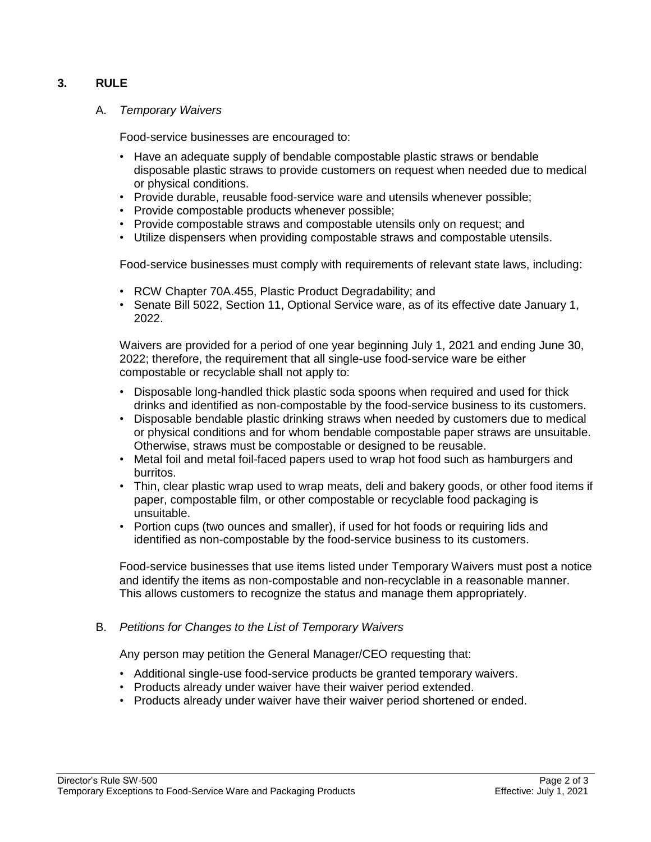# **3. RULE**

A. *Temporary Waivers*

Food-service businesses are encouraged to:

- Have an adequate supply of bendable compostable plastic straws or bendable disposable plastic straws to provide customers on request when needed due to medical or physical conditions.
- Provide durable, reusable food-service ware and utensils whenever possible;
- Provide compostable products whenever possible;
- Provide compostable straws and compostable utensils only on request; and
- Utilize dispensers when providing compostable straws and compostable utensils.

Food-service businesses must comply with requirements of relevant state laws, including:

- RCW Chapter 70A.455, Plastic Product Degradability; and
- Senate Bill 5022, Section 11, Optional Service ware, as of its effective date January 1, 2022.

Waivers are provided for a period of one year beginning July 1, 2021 and ending June 30, 2022; therefore, the requirement that all single-use food-service ware be either compostable or recyclable shall not apply to:

- Disposable long-handled thick plastic soda spoons when required and used for thick drinks and identified as non-compostable by the food-service business to its customers.
- Disposable bendable plastic drinking straws when needed by customers due to medical or physical conditions and for whom bendable compostable paper straws are unsuitable. Otherwise, straws must be compostable or designed to be reusable.
- Metal foil and metal foil-faced papers used to wrap hot food such as hamburgers and burritos.
- Thin, clear plastic wrap used to wrap meats, deli and bakery goods, or other food items if paper, compostable film, or other compostable or recyclable food packaging is unsuitable.
- Portion cups (two ounces and smaller), if used for hot foods or requiring lids and identified as non-compostable by the food-service business to its customers.

Food-service businesses that use items listed under Temporary Waivers must post a notice and identify the items as non-compostable and non-recyclable in a reasonable manner. This allows customers to recognize the status and manage them appropriately.

B. *Petitions for Changes to the List of Temporary Waivers*

Any person may petition the General Manager/CEO requesting that:

- Additional single-use food-service products be granted temporary waivers.
- Products already under waiver have their waiver period extended.
- Products already under waiver have their waiver period shortened or ended.